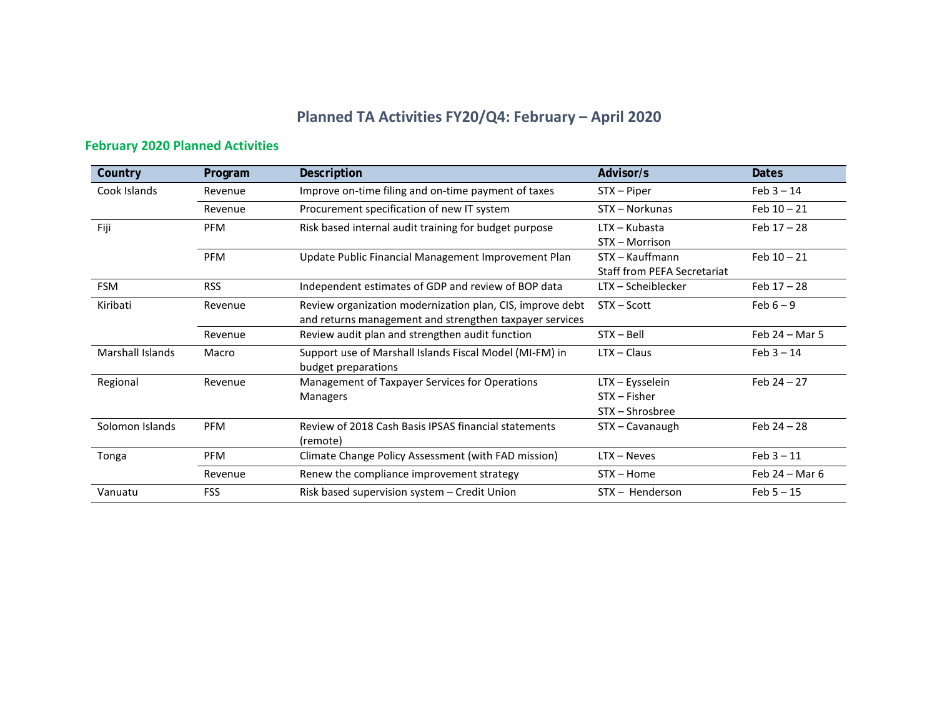## **Planned TA Activities FY20/Q4: February – April 2020**

## **February 2020 Planned Activities**

| Country                 | Program    | Description                                                                                                          | Advisor/s                                             | <b>Dates</b>     |
|-------------------------|------------|----------------------------------------------------------------------------------------------------------------------|-------------------------------------------------------|------------------|
| Cook Islands            | Revenue    | Improve on-time filing and on-time payment of taxes                                                                  | STX - Piper                                           | $Feb 3 - 14$     |
|                         | Revenue    | Procurement specification of new IT system                                                                           | STX - Norkunas                                        | Feb $10 - 21$    |
| Fiji                    | <b>PFM</b> | Risk based internal audit training for budget purpose                                                                | $LTX - Kubasta$<br>STX - Morrison                     | Feb $17 - 28$    |
|                         | <b>PFM</b> | Update Public Financial Management Improvement Plan                                                                  | STX – Kauffmann<br><b>Staff from PEFA Secretariat</b> | Feb $10 - 21$    |
| <b>FSM</b>              | <b>RSS</b> | Independent estimates of GDP and review of BOP data                                                                  | LTX - Scheiblecker                                    | Feb $17 - 28$    |
| Kiribati                | Revenue    | Review organization modernization plan, CIS, improve debt<br>and returns management and strengthen taxpayer services | $STX - Scott$                                         | Feb $6-9$        |
|                         | Revenue    | Review audit plan and strengthen audit function                                                                      | $STX - Bell$                                          | Feb $24 -$ Mar 5 |
| <b>Marshall Islands</b> | Macro      | Support use of Marshall Islands Fiscal Model (MI-FM) in<br>budget preparations                                       | $LTX - Claus$                                         | $Feb 3 - 14$     |
| Regional                | Revenue    | Management of Taxpayer Services for Operations<br><b>Managers</b>                                                    | LTX - Eysselein<br>$STX - Fisher$<br>STX - Shrosbree  | Feb $24 - 27$    |
| Solomon Islands         | <b>PFM</b> | Review of 2018 Cash Basis IPSAS financial statements<br>(remote)                                                     | STX - Cavanaugh                                       | Feb $24 - 28$    |
| Tonga                   | <b>PFM</b> | Climate Change Policy Assessment (with FAD mission)                                                                  | $LTX - Neves$                                         | $Feb 3 - 11$     |
|                         | Revenue    | Renew the compliance improvement strategy                                                                            | $STX - Home$                                          | Feb $24 - Mar$ 6 |
| Vanuatu                 | <b>FSS</b> | Risk based supervision system - Credit Union                                                                         | STX - Henderson                                       | $Feb 5 - 15$     |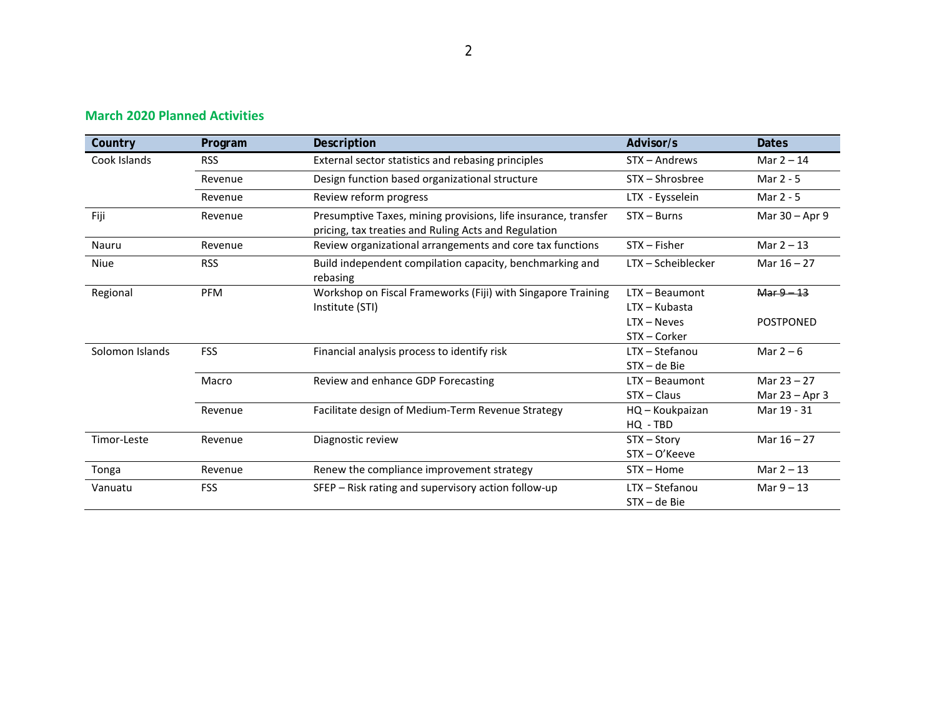| Country         | Program    | Description                                                                                                                             | Advisor/s                                                        | <b>Dates</b>                      |
|-----------------|------------|-----------------------------------------------------------------------------------------------------------------------------------------|------------------------------------------------------------------|-----------------------------------|
| Cook Islands    | <b>RSS</b> | External sector statistics and rebasing principles                                                                                      | STX - Andrews                                                    | Mar $2 - 14$                      |
|                 | Revenue    | Design function based organizational structure                                                                                          | STX – Shrosbree                                                  | Mar 2 - 5                         |
|                 | Revenue    | Review reform progress                                                                                                                  | LTX - Eysselein                                                  | Mar 2 - 5                         |
| Fiji            | Revenue    | $STX - Burns$<br>Presumptive Taxes, mining provisions, life insurance, transfer<br>pricing, tax treaties and Ruling Acts and Regulation |                                                                  | Mar 30 - Apr 9                    |
| Nauru           | Revenue    | Review organizational arrangements and core tax functions                                                                               | $STX - Fisher$                                                   | Mar $2 - 13$                      |
| Niue            | <b>RSS</b> | LTX - Scheiblecker<br>Build independent compilation capacity, benchmarking and<br>rebasing                                              |                                                                  | Mar $16 - 27$                     |
| Regional        | <b>PFM</b> | Workshop on Fiscal Frameworks (Fiji) with Singapore Training<br>Institute (STI)                                                         | LTX - Beaumont<br>LTX – Kubasta<br>$LTX - Neves$<br>STX - Corker | $Mar 9 - 13$<br><b>POSTPONED</b>  |
| Solomon Islands | <b>FSS</b> | Financial analysis process to identify risk                                                                                             | LTX - Stefanou<br>$STX - de Bie$                                 | Mar $2-6$                         |
|                 | Macro      | Review and enhance GDP Forecasting                                                                                                      | LTX - Beaumont<br>$STX - Claus$                                  | Mar $23 - 27$<br>Mar $23 -$ Apr 3 |
|                 | Revenue    | Facilitate design of Medium-Term Revenue Strategy                                                                                       | HQ - Koukpaizan<br>HQ - TBD                                      | Mar 19 - 31                       |
| Timor-Leste     | Revenue    | Diagnostic review                                                                                                                       | STX - Story<br>$STX - O'$ Keeve                                  | Mar $16 - 27$                     |
| Tonga           | Revenue    | Renew the compliance improvement strategy                                                                                               | $STX - Home$                                                     | Mar $2 - 13$                      |
| Vanuatu         | <b>FSS</b> | SFEP - Risk rating and supervisory action follow-up                                                                                     | LTX - Stefanou<br>$STX - de Bie$                                 | Mar $9 - 13$                      |